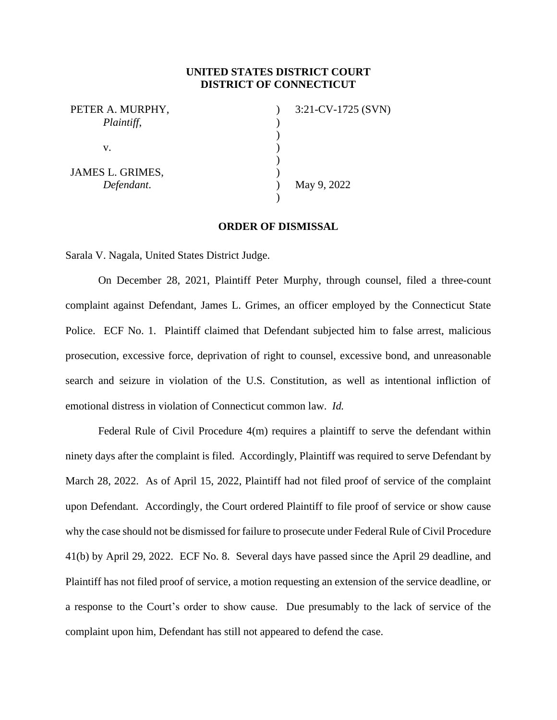## **UNITED STATES DISTRICT COURT DISTRICT OF CONNECTICUT**

| PETER A. MURPHY, | $3:21$ -CV-1725 (SVN) |
|------------------|-----------------------|
| Plaintiff,       |                       |
|                  |                       |
| v.               |                       |
|                  |                       |
| JAMES L. GRIMES, |                       |
| Defendant.       | May 9, 2022           |
|                  |                       |

## **ORDER OF DISMISSAL**

Sarala V. Nagala, United States District Judge.

On December 28, 2021, Plaintiff Peter Murphy, through counsel, filed a three-count complaint against Defendant, James L. Grimes, an officer employed by the Connecticut State Police. ECF No. 1. Plaintiff claimed that Defendant subjected him to false arrest, malicious prosecution, excessive force, deprivation of right to counsel, excessive bond, and unreasonable search and seizure in violation of the U.S. Constitution, as well as intentional infliction of emotional distress in violation of Connecticut common law. *Id.*

Federal Rule of Civil Procedure 4(m) requires a plaintiff to serve the defendant within ninety days after the complaint is filed. Accordingly, Plaintiff was required to serve Defendant by March 28, 2022. As of April 15, 2022, Plaintiff had not filed proof of service of the complaint upon Defendant. Accordingly, the Court ordered Plaintiff to file proof of service or show cause why the case should not be dismissed for failure to prosecute under Federal Rule of Civil Procedure 41(b) by April 29, 2022. ECF No. 8. Several days have passed since the April 29 deadline, and Plaintiff has not filed proof of service, a motion requesting an extension of the service deadline, or a response to the Court's order to show cause. Due presumably to the lack of service of the complaint upon him, Defendant has still not appeared to defend the case.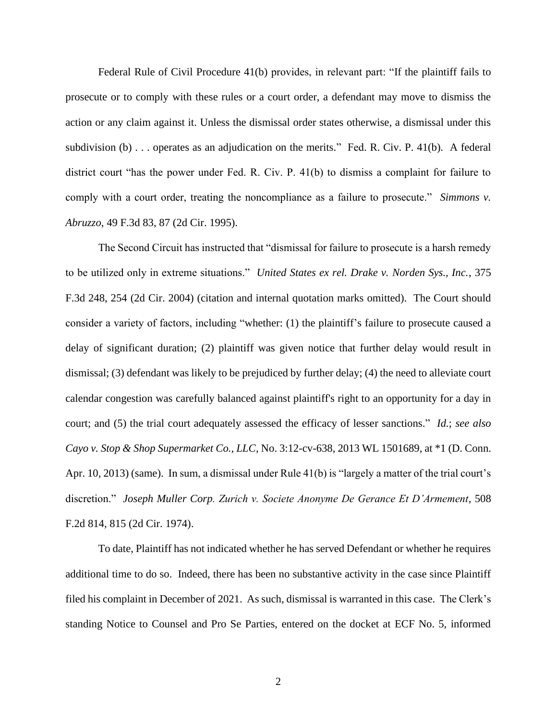Federal Rule of Civil Procedure 41(b) provides, in relevant part: "If the plaintiff fails to prosecute or to comply with these rules or a court order, a defendant may move to dismiss the action or any claim against it. Unless the dismissal order states otherwise, a dismissal under this subdivision (b) . . . operates as an adjudication on the merits." Fed. R. Civ. P. 41(b). A federal district court "has the power under Fed. R. Civ. P. 41(b) to dismiss a complaint for failure to comply with a court order, treating the noncompliance as a failure to prosecute." *Simmons v. Abruzzo*, 49 F.3d 83, 87 (2d Cir. 1995).

The Second Circuit has instructed that "dismissal for failure to prosecute is a harsh remedy to be utilized only in extreme situations." *United States ex rel. Drake v. Norden Sys., Inc.*, 375 F.3d 248, 254 (2d Cir. 2004) (citation and internal quotation marks omitted). The Court should consider a variety of factors, including "whether: (1) the plaintiff's failure to prosecute caused a delay of significant duration; (2) plaintiff was given notice that further delay would result in dismissal; (3) defendant was likely to be prejudiced by further delay; (4) the need to alleviate court calendar congestion was carefully balanced against plaintiff's right to an opportunity for a day in court; and (5) the trial court adequately assessed the efficacy of lesser sanctions." *Id.*; *see also Cayo v. Stop & Shop Supermarket Co., LLC*, No. 3:12-cv-638, 2013 WL 1501689, at \*1 (D. Conn. Apr. 10, 2013) (same). In sum, a dismissal under Rule 41(b) is "largely a matter of the trial court's discretion." *Joseph Muller Corp. Zurich v. Societe Anonyme De Gerance Et D'Armement*, 508 F.2d 814, 815 (2d Cir. 1974).

To date, Plaintiff has not indicated whether he has served Defendant or whether he requires additional time to do so. Indeed, there has been no substantive activity in the case since Plaintiff filed his complaint in December of 2021. As such, dismissal is warranted in this case. The Clerk's standing Notice to Counsel and Pro Se Parties, entered on the docket at ECF No. 5, informed